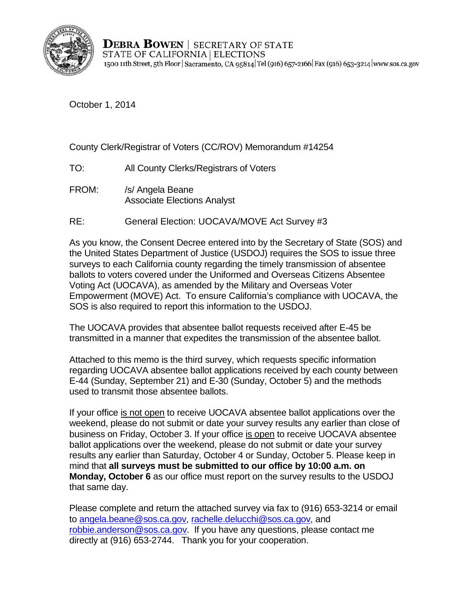

**DEBRA BOWEN** | SECRETARY OF STATE STATE OF CALIFORNIA | ELECTIONS 1500 11th Street, 5th Floor | Sacramento, CA 95814 Tel (916) 657-2166 | Fax (916) 653-3214 | www.sos.ca.gov

October 1, 2014

County Clerk/Registrar of Voters (CC/ROV) Memorandum #14254

- TO: All County Clerks/Registrars of Voters
- FROM: /s/ Angela Beane Associate Elections Analyst
- RE: General Election: UOCAVA/MOVE Act Survey #3

As you know, the Consent Decree entered into by the Secretary of State (SOS) and the United States Department of Justice (USDOJ) requires the SOS to issue three surveys to each California county regarding the timely transmission of absentee ballots to voters covered under the Uniformed and Overseas Citizens Absentee Voting Act (UOCAVA), as amended by the Military and Overseas Voter Empowerment (MOVE) Act. To ensure California's compliance with UOCAVA, the SOS is also required to report this information to the USDOJ.

The UOCAVA provides that absentee ballot requests received after E-45 be transmitted in a manner that expedites the transmission of the absentee ballot.

Attached to this memo is the third survey, which requests specific information regarding UOCAVA absentee ballot applications received by each county between E-44 (Sunday, September 21) and E-30 (Sunday, October 5) and the methods used to transmit those absentee ballots.

If your office is not open to receive UOCAVA absentee ballot applications over the weekend, please do not submit or date your survey results any earlier than close of business on Friday, October 3. If your office is open to receive UOCAVA absentee ballot applications over the weekend, please do not submit or date your survey results any earlier than Saturday, October 4 or Sunday, October 5. Please keep in mind that **all surveys must be submitted to our office by 10:00 a.m. on Monday, October 6** as our office must report on the survey results to the USDOJ that same day.

Please complete and return the attached survey via fax to (916) 653-3214 or email to [angela.beane@sos.ca.gov,](mailto:angela.beane@sos.ca.gov) [rachelle.delucchi@sos.ca.gov,](mailto:rachelle.delucchi@sos.ca.gov) and [robbie.anderson@sos.ca.gov.](mailto:robbie.anderson@sos.ca.gov) If you have any questions, please contact me directly at (916) 653-2744. Thank you for your cooperation.